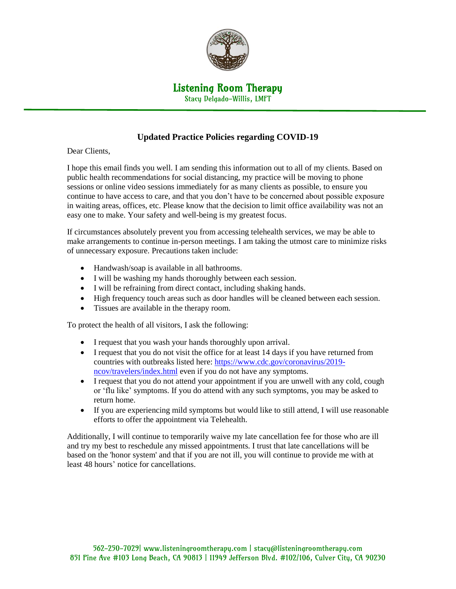

## Listening Room Therapy

Stacy Delgado-Willis, LMFT

## **Updated Practice Policies regarding COVID-19**

Dear Clients,

I hope this email finds you well. I am sending this information out to all of my clients. Based on public health recommendations for social distancing, my practice will be moving to phone sessions or online video sessions immediately for as many clients as possible, to ensure you continue to have access to care, and that you don't have to be concerned about possible exposure in waiting areas, offices, etc. Please know that the decision to limit office availability was not an easy one to make. Your safety and well-being is my greatest focus.

If circumstances absolutely prevent you from accessing telehealth services, we may be able to make arrangements to continue in-person meetings. I am taking the utmost care to minimize risks of unnecessary exposure. Precautions taken include:

- Handwash/soap is available in all bathrooms.
- I will be washing my hands thoroughly between each session.
- I will be refraining from direct contact, including shaking hands.
- High frequency touch areas such as door handles will be cleaned between each session.
- Tissues are available in the therapy room.

To protect the health of all visitors, I ask the following:

- I request that you wash your hands thoroughly upon arrival.
- I request that you do not visit the office for at least 14 days if you have returned from countries with outbreaks listed here: [https://www.cdc.gov/coronavirus/2019](https://www.cdc.gov/coronavirus/2019-ncov/travelers/index.html) [ncov/travelers/index.html](https://www.cdc.gov/coronavirus/2019-ncov/travelers/index.html) even if you do not have any symptoms.
- I request that you do not attend your appointment if you are unwell with any cold, cough or 'flu like' symptoms. If you do attend with any such symptoms, you may be asked to return home.
- If you are experiencing mild symptoms but would like to still attend, I will use reasonable efforts to offer the appointment via Telehealth.

Additionally, I will continue to temporarily waive my late cancellation fee for those who are ill and try my best to reschedule any missed appointments. I trust that late cancellations will be based on the 'honor system' and that if you are not ill, you will continue to provide me with at least 48 hours' notice for cancellations.